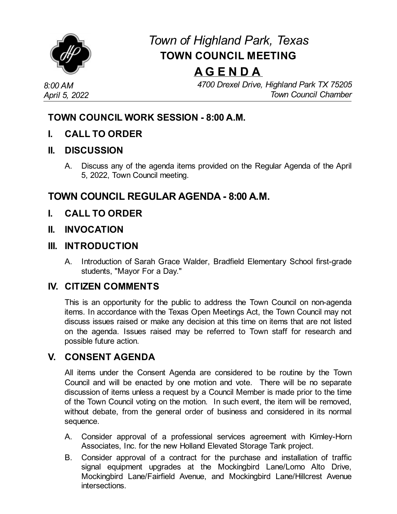

# *Town of Highland Park, Texas* **TOWN COUNCIL MEETING**

## **A G E N D A**

*8:00 AM April 5, 2022* *4700 Drexel Drive, Highland Park TX 75205 Town Council Chamber*

## **TOWN COUNCIL WORK SESSION - 8:00 A.M.**

**I. CALL TO ORDER**

#### **II. DISCUSSION**

A. Discuss any of the agenda items provided on the Regular Agenda of the April 5, 2022, Town Council meeting.

## **TOWN COUNCIL REGULAR AGENDA - 8:00 A.M.**

- **I. CALL TO ORDER**
- **II. INVOCATION**

#### **III. INTRODUCTION**

A. Introduction of Sarah Grace Walder, Bradfield Elementary School first-grade students, "Mayor For a Day."

### **IV. CITIZEN COMMENTS**

This is an opportunity for the public to address the Town Council on non-agenda items. In accordance with the Texas Open Meetings Act, the Town Council may not discuss issues raised or make any decision at this time on items that are not listed on the agenda. Issues raised may be referred to Town staff for research and possible future action.

## **V. CONSENT AGENDA**

All items under the Consent Agenda are considered to be routine by the Town Council and will be enacted by one motion and vote. There will be no separate discussion of items unless a request by a Council Member is made prior to the time of the Town Council voting on the motion. In such event, the item will be removed, without debate, from the general order of business and considered in its normal sequence.

- A. Consider approval of a professional services agreement with [Kimley-Horn](file:///C:/Windows/TEMP/CoverSheet.aspx?ItemID=4600&MeetingID=743) Associates, Inc. for the new Holland Elevated Storage Tank project.
- B. Consider approval of a contract for the purchase and installation of traffic signal equipment upgrades at the Mockingbird Lane/Lomo Alto Drive, Mockingbird Lane/Fairfield Avenue, and Mockingbird Lane/Hillcrest Avenue intersections.